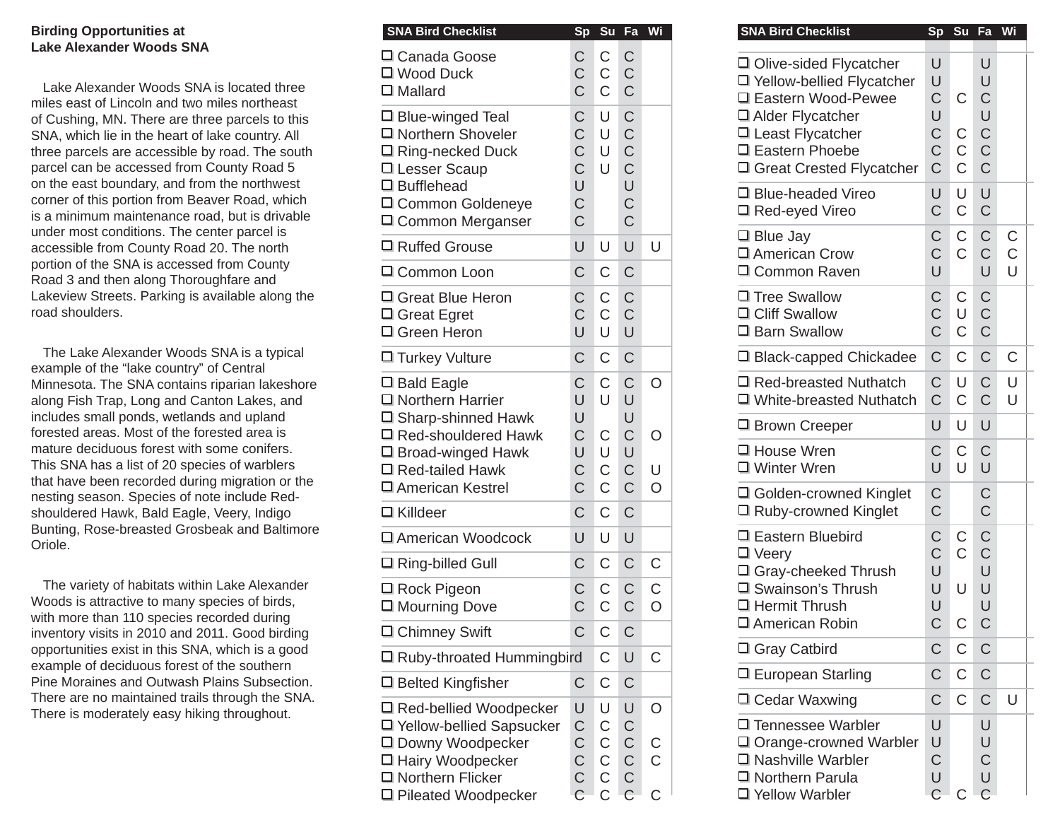## **Birding Opportunities at Lake Alexander Woods SNA**

Lake Alexander Woods SNA is located three miles east of Lincoln and two miles northeast of Cushing, MN. There are three parcels to this SNA, which lie in the heart of lake country. All three parcels are accessible by road. The south parcel can be accessed from County Road 5 on the east boundary, and from the northwest corner of this portion from Beaver Road, which is a minimum maintenance road, but is drivable under most conditions. The center parcel is accessible from County Road 20. The north portion of the SNA is accessed from County Road 3 and then along Thoroughfare and Lakeview Streets. Parking is available along the road shoulders.

The Lake Alexander Woods SNA is a typical example of the "lake country" of Central Minnesota. The SNA contains riparian lakeshore along Fish Trap, Long and Canton Lakes, and includes small ponds, wetlands and upland forested areas. Most of the forested area is mature deciduous forest with some conifers. This SNA has a list of 20 species of warblers that have been recorded during migration or the nesting season. Species of note include Redshouldered Hawk, Bald Eagle, Veery, Indigo Bunting, Rose-breasted Grosbeak and Baltimore Oriole.

The variety of habitats within Lake Alexander Woods is attractive to many species of birds, with more than 110 species recorded during inventory visits in 2010 and 2011. Good birding opportunities exist in this SNA, which is a good example of deciduous forest of the southern Pine Moraines and Outwash Plains Subsection. There are no maintained trails through the SNA. There is moderately easy hiking throughout.

| <b>SNA Bird Checklist</b>                                                                                                                                     | Sp                                                                                            | Su                                                          | Fa                                                                      | Wi               |
|---------------------------------------------------------------------------------------------------------------------------------------------------------------|-----------------------------------------------------------------------------------------------|-------------------------------------------------------------|-------------------------------------------------------------------------|------------------|
| □ Canada Goose<br>□ Wood Duck<br>$\square$ Mallard                                                                                                            | C<br>$\mathsf C$<br>$\overline{C}$                                                            | C<br>C<br>C                                                 | C<br>C<br>C                                                             |                  |
| $\Box$ Blue-winged Teal<br>□ Northern Shoveler<br>□ Ring-necked Duck<br>□ Lesser Scaup<br>$\square$ Bufflehead<br>□ Common Goldeneye<br>□ Common Merganser    | C<br>$\mathsf C$<br>$\overline{C}$<br>$\overline{C}$<br>U<br>$\overline{C}$<br>$\overline{C}$ | U<br>U<br>U<br>U                                            | C<br>$\mathsf C$<br>$\mathsf C$<br>$\mathsf C$<br>U<br>$\mathsf C$<br>C |                  |
| □ Ruffed Grouse                                                                                                                                               | U                                                                                             | U                                                           | U                                                                       | U                |
| □ Common Loon                                                                                                                                                 | Ć                                                                                             | C                                                           | $\mathsf C$                                                             |                  |
| 口 Great Blue Heron<br>□ Great Egret<br>口 Green Heron                                                                                                          | $\overline{C}$<br>$\overline{C}$<br>U                                                         | C<br>$\overline{C}$<br>U                                    | C<br>$\mathsf C$<br>U                                                   |                  |
| □ Turkey Vulture                                                                                                                                              | C                                                                                             | $\overline{C}$                                              | C                                                                       |                  |
| $\square$ Bald Eagle<br>□ Northern Harrier<br>□ Sharp-shinned Hawk<br>口 Red-shouldered Hawk<br>□ Broad-winged Hawk<br>□ Red-tailed Hawk<br>□ American Kestrel | C<br>U<br>U<br>$\mathsf C$<br>U<br>$\mathsf C$<br>$\overline{C}$                              | C<br>U<br>C<br>U<br>$\mathsf C$<br>$\overline{C}$           | $\mathsf C$<br>U<br>U<br>C<br>U<br>$\mathsf C$<br>$\mathsf C$           | O<br>O<br>U<br>Ö |
| $\Box$ Killdeer                                                                                                                                               | Ć                                                                                             | C                                                           | $\overline{C}$                                                          |                  |
| □ American Woodcock                                                                                                                                           | U                                                                                             | U                                                           | U                                                                       |                  |
| □ Ring-billed Gull                                                                                                                                            | $\mathsf C$                                                                                   | C                                                           | $\mathsf C$                                                             | С                |
| $\square$ Rock Pigeon<br>□ Mourning Dove                                                                                                                      | $\mathsf C$<br>Ć                                                                              | С<br>Ċ                                                      | $\mathsf C$<br>Ć                                                        | $\mathsf C$<br>O |
| □ Chimney Swift                                                                                                                                               | $\mathsf C$                                                                                   | $\mathsf C$                                                 | C                                                                       |                  |
| □ Ruby-throated Hummingbird                                                                                                                                   |                                                                                               | С                                                           | U                                                                       | С                |
| $\Box$ Belted Kingfisher                                                                                                                                      | С                                                                                             | С                                                           | С                                                                       |                  |
| □ Red-bellied Woodpecker<br>□ Yellow-bellied Sapsucker<br>□ Downy Woodpecker<br>□ Hairy Woodpecker<br>□ Northern Flicker<br>□ Pileated Woodpecker             | U<br>$\mathsf C$<br>$\frac{C}{C}$<br>$\mathsf{C}$<br>$\overline{C}$                           | U<br>С<br>$\mathsf C$<br>$\overline{C}$<br>$\mathsf C$<br>Ć | U<br>C<br>$\mathsf C$<br>$\overline{C}$<br>$\mathsf C$<br>C             | O<br>C<br>C<br>Ć |

| <b>SNA Bird Checklist</b>                                                                                                                              |                                                                    | Sp Su Fa Wi                                                         |                                                                               |                                                       | <b>SNA Bird Checklist</b>                                                                                                                         |                                                | Sp Su Fa Wi                               |                                                      |  |
|--------------------------------------------------------------------------------------------------------------------------------------------------------|--------------------------------------------------------------------|---------------------------------------------------------------------|-------------------------------------------------------------------------------|-------------------------------------------------------|---------------------------------------------------------------------------------------------------------------------------------------------------|------------------------------------------------|-------------------------------------------|------------------------------------------------------|--|
| Canada Goose<br>I Wood Duck<br>I Mallard                                                                                                               | $\mathsf C$<br>$\mathsf C$<br>$\overline{C}$                       | $\mathsf C$<br>$\mathsf C$<br>$\mathsf{C}$                          | $\mathsf C$<br>$\mathsf C$<br>$\mathsf C$                                     |                                                       | □ Olive-sided Flycatcher<br>□ Yellow-bellied Flycatcher<br>□ Eastern Wood-Pewee                                                                   | U<br>U<br>$\mathsf C$                          | $\mathsf C$                               | U<br>U<br>$\mathsf C$                                |  |
| Blue-winged Teal<br>I Northern Shoveler<br>Ring-necked Duck<br>Lesser Scaup                                                                            | $\mathsf C$<br>$\mathsf C$<br>$\mathsf C$<br>$\overline{C}$        | U<br>U<br>$\cup$<br>U                                               | $\mathsf C$<br>$\mathsf C$<br>$\mathsf C$<br>$\mathsf C$                      |                                                       | □ Alder Flycatcher<br>$\Box$ Least Flycatcher<br>□ Eastern Phoebe<br>□ Great Crested Flycatcher                                                   | U<br>$\mathsf C$<br>$\mathsf C$<br>$\mathsf C$ | $\mathsf C$<br>$\mathsf C$<br>$\mathsf C$ | U<br>$\mathsf C$<br>$\overline{C}$<br>$\overline{C}$ |  |
| <b>J</b> Bufflehead<br>I Common Goldeneye<br>I Common Merganser                                                                                        | U<br>C<br>$\overline{C}$                                           |                                                                     | U<br>$\mathsf C$<br>$\overline{C}$                                            |                                                       | □ Blue-headed Vireo<br>$\Box$ Red-eyed Vireo                                                                                                      | U<br>$\mathsf C$                               | $\cup$<br>$\mathsf C$                     | U<br>$\mathsf C$                                     |  |
| Ruffed Grouse<br>Common Loon                                                                                                                           | U<br>$\mathsf C$                                                   | U<br>$\mathsf C$                                                    | U<br>$\mathsf C$                                                              | U                                                     | $\Box$ Blue Jay<br>□ American Crow<br>□ Common Raven                                                                                              | $\mathsf C$<br>$\mathsf C$<br>$\cup$           | $\mathsf C$<br>$\mathsf{C}$               | $\mathsf C$<br>$\mathsf C$<br>U                      |  |
| Great Blue Heron<br><b>J</b> Great Egret<br>I Green Heron                                                                                              | $\mathsf C$<br>$\mathsf C$<br>U                                    | $\mathsf C$<br>$\mathsf C$<br>U                                     | $\mathsf C$<br>$\mathsf C$<br>U                                               |                                                       | □ Tree Swallow<br>$\Box$ Cliff Swallow<br>□ Barn Swallow                                                                                          | $\mathsf C$<br>$\mathsf C$<br>$\overline{C}$   | $\mathsf C$<br>$\cup$<br>$\mathsf C$      | $\mathsf C$<br>$\mathsf C$<br>$\mathsf C$            |  |
| Turkey Vulture                                                                                                                                         | $\mathsf C$                                                        | $\mathsf C$                                                         | $\mathsf C$                                                                   |                                                       | $\Box$ Black-capped Chickadee                                                                                                                     | $\mathsf C$                                    | $\mathsf C$                               | $\mathsf C$                                          |  |
| I Bald Eagle<br>I Northern Harrier                                                                                                                     | C<br>U                                                             | $\mathsf{C}$<br>U                                                   | $\mathsf C$<br>$\cup$                                                         | $\circ$                                               | $\Box$ Red-breasted Nuthatch<br>$\Box$ White-breasted Nuthatch                                                                                    | $\mathsf C$<br>$\mathsf C$                     | U<br>$\mathsf C$                          | $\mathsf C$<br>$\overline{C}$                        |  |
| <b>J</b> Sharp-shinned Hawk<br>Red-shouldered Hawk                                                                                                     | U<br>$\mathsf C$                                                   | $\mathsf C$                                                         | $\cup$<br>$\mathsf C$                                                         | $\circ$                                               | $\Box$ Brown Creeper                                                                                                                              | U                                              | U                                         | U                                                    |  |
| I Broad-winged Hawk<br>Red-tailed Hawk<br>I American Kestrel                                                                                           | U<br>$\mathsf C$<br>$\overline{C}$                                 | U<br>$\mathsf C$<br>$\mathsf C$                                     | U<br>$\overline{C}$<br>$\mathsf C$                                            | U<br>$\circ$                                          | □ House Wren<br>□ Winter Wren                                                                                                                     | C<br>U                                         | $\mathsf C$<br>$\cup$                     | $\mathsf C$<br>U                                     |  |
| I Killdeer                                                                                                                                             | $\mathsf C$                                                        | $\mathsf C$                                                         | $\mathsf{C}$                                                                  |                                                       | □ Golden-crowned Kinglet<br>□ Ruby-crowned Kinglet                                                                                                | $\mathsf C$<br>$\mathsf C$                     |                                           | $\mathsf C$<br>$\overline{C}$                        |  |
| I American Woodcock                                                                                                                                    | U                                                                  | U                                                                   | $\cup$                                                                        |                                                       | □ Eastern Bluebird                                                                                                                                | $\mathsf C$                                    | $\mathsf C$                               | $\mathsf C$                                          |  |
| <b>I</b> Ring-billed Gull                                                                                                                              | C                                                                  | C                                                                   | $\mathsf C$                                                                   | $\mathsf C$                                           | $\Box$ Veery<br>□ Gray-cheeked Thrush                                                                                                             | $\overline{C}$<br>U                            | $\mathsf{C}$                              | $\mathsf C$<br>U                                     |  |
| Rock Pigeon<br>Mourning Dove                                                                                                                           | $\mathsf C$<br>$\overline{C}$                                      | C<br>Ċ                                                              | $\mathsf C$<br>$\mathsf C$                                                    | C<br>$\circ$                                          | □ Swainson's Thrush<br>$\Box$ Hermit Thrush                                                                                                       | U<br>U                                         | U                                         | U<br>U                                               |  |
| <b>I</b> Chimney Swift                                                                                                                                 | C                                                                  | C                                                                   | C                                                                             |                                                       | □ American Robin                                                                                                                                  | $\mathsf C$                                    | ${\bf C}$                                 | $\mathsf C$                                          |  |
| Ruby-throated Hummingbird                                                                                                                              |                                                                    | $\mathsf C$                                                         | $\cup$                                                                        | $\mathsf C$                                           | $\Box$ Gray Catbird                                                                                                                               | $\mathsf C$                                    | $\mathsf C$                               | $\mathsf{C}$                                         |  |
| <b>Belted Kingfisher</b>                                                                                                                               | C                                                                  | C                                                                   | $\mathsf C$                                                                   |                                                       | $\Box$ European Starling                                                                                                                          | C                                              | C                                         | $\mathsf C$                                          |  |
| Red-bellied Woodpecker<br>I Yellow-bellied Sapsucker<br><b>J</b> Downy Woodpecker<br>I Hairy Woodpecker<br>I Northern Flicker<br>I Pileated Woodpecker | U<br>$\mathsf C$<br>$\mathsf C$<br>$\mathsf C$<br>$\mathsf C$<br>C | U<br>C<br>$\mathsf C$<br>$\mathsf C$<br>$\mathsf C$<br>$\mathsf{C}$ | U<br>$\mathsf C$<br>$\mathsf C$<br>$\mathsf C$<br>$\mathsf C$<br>$\mathsf{C}$ | $\circ$<br>$\mathsf C$<br>$\mathsf{C}$<br>$\mathsf C$ | $\Box$ Cedar Waxwing<br>□ Tennessee Warbler<br>$\Box$ Orange-crowned Warbler<br>$\Box$ Nashville Warbler<br>□ Northern Parula<br>□ Yellow Warbler | C<br>U<br>U<br>C<br>U<br>C                     | $\mathsf C$<br>C                          | $\mathsf C$<br>U<br>U<br>C<br>U<br>$\mathsf{C}$      |  |